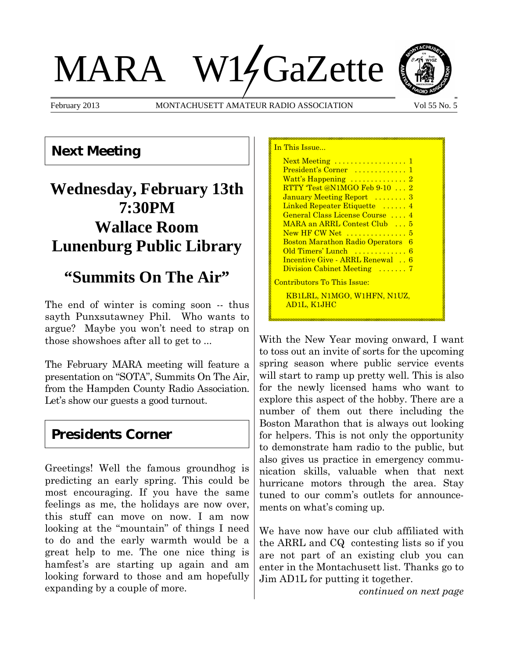# MARA W14GaZette



February 2013 MONTACHUSETT AMATEUR RADIO ASSOCIATION Vol 55 No. 5

In This Issue



## **Next Meeting**

# **Wednesday, February 13th 7:30PM Wallace Room Lunenburg Public Library**

# **"Summits On The Air"**

The end of winter is coming soon -- thus sayth Punxsutawney Phil. Who wants to argue? Maybe you won't need to strap on those showshoes after all to get to ...

The February MARA meeting will feature a presentation on "SOTA", Summits On The Air, from the Hampden County Radio Association. Let's show our guests a good turnout.

## **Presidents Corner**

Greetings! Well the famous groundhog is predicting an early spring. This could be most encouraging. If you have the same feelings as me, the holidays are now over, this stuff can move on now. I am now looking at the "mountain" of things I need to do and the early warmth would be a great help to me. The one nice thing is hamfest's are starting up again and am looking forward to those and am hopefully expanding by a couple of more.

| Next Meeting  1                               |
|-----------------------------------------------|
| President's Corner  1                         |
| Watt's Happening  2                           |
| RTTY Test @N1MGO Feb 9-10  2                  |
| January Meeting Report  3                     |
| Linked Repeater Etiquette  4                  |
| General Class License Course  4               |
| MARA an ARRL Contest Club  5                  |
| New HF CW Net $\ldots \ldots \ldots \ldots 5$ |
| <b>Boston Marathon Radio Operators</b> 6      |
|                                               |
| Incentive Give - ARRL Renewal  6              |
| Division Cabinet Meeting  7                   |
| <u> Contributors To This Issue:</u>           |
| KB1LRL, N1MGO, W1HFN, N1UZ,                   |
| AD1L, K1JHC                                   |
|                                               |

With the New Year moving onward, I want to toss out an invite of sorts for the upcoming spring season where public service events will start to ramp up pretty well. This is also for the newly licensed hams who want to explore this aspect of the hobby. There are a number of them out there including the Boston Marathon that is always out looking for helpers. This is not only the opportunity to demonstrate ham radio to the public, but also gives us practice in emergency communication skills, valuable when that next hurricane motors through the area. Stay tuned to our comm's outlets for announcements on what's coming up.

We have now have our club affiliated with the ARRL and CQ contesting lists so if you are not part of an existing club you can enter in the Montachusett list. Thanks go to Jim AD1L for putting it together.

*continued on next page*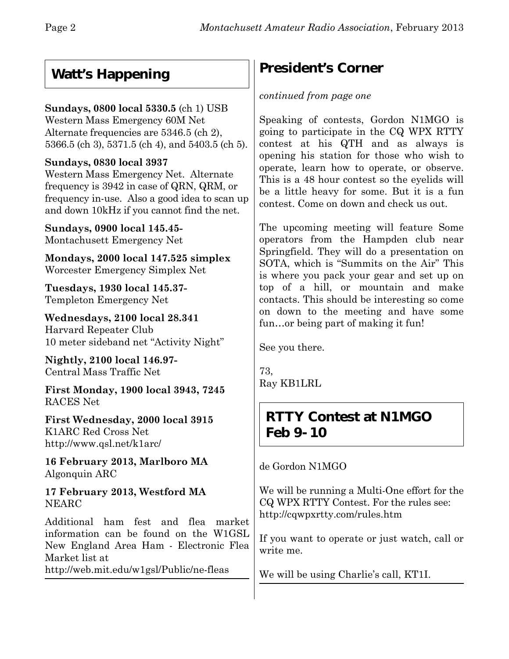# **Watt's Happening**

## **Sundays, 0800 local 5330.5** (ch 1) USB

Western Mass Emergency 60M Net Alternate frequencies are 5346.5 (ch 2), 5366.5 (ch 3), 5371.5 (ch 4), and 5403.5 (ch 5).

## **Sundays, 0830 local 3937**

Western Mass Emergency Net. Alternate frequency is 3942 in case of QRN, QRM, or frequency in-use. Also a good idea to scan up and down 10kHz if you cannot find the net.

**Sundays, 0900 local 145.45-** Montachusett Emergency Net

**Mondays, 2000 local 147.525 simplex** Worcester Emergency Simplex Net

**Tuesdays, 1930 local 145.37-** Templeton Emergency Net

**Wednesdays, 2100 local 28.341** Harvard Repeater Club 10 meter sideband net "Activity Night"

**Nightly, 2100 local 146.97-** Central Mass Traffic Net

**First Monday, 1900 local 3943, 7245** RACES Net

**First Wednesday, 2000 local 3915** K1ARC Red Cross Net http://www.qsl.net/k1arc/

**16 February 2013, Marlboro MA** Algonquin ARC

**17 February 2013, Westford MA** NEARC

Additional ham fest and flea market information can be found on the W1GSL New England Area Ham - Electronic Flea Market list at http://web.mit.edu/w1gsl/Public/ne-fleas

# **President's Corner**

## *continued from page one*

Speaking of contests, Gordon N1MGO is going to participate in the CQ WPX RTTY contest at his QTH and as always is opening his station for those who wish to operate, learn how to operate, or observe. This is a 48 hour contest so the eyelids will be a little heavy for some. But it is a fun contest. Come on down and check us out.

The upcoming meeting will feature Some operators from the Hampden club near Springfield. They will do a presentation on SOTA, which is "Summits on the Air" This is where you pack your gear and set up on top of a hill, or mountain and make contacts. This should be interesting so come on down to the meeting and have some fun…or being part of making it fun!

See you there.

73, Ray KB1LRL

# **RTTY Contest at N1MGO Feb 9-10**

de Gordon N1MGO

We will be running a Multi-One effort for the CQ WPX RTTY Contest. For the rules see: http://cqwpxrtty.com/rules.htm

If you want to operate or just watch, call or write me.

We will be using Charlie's call, KT1I.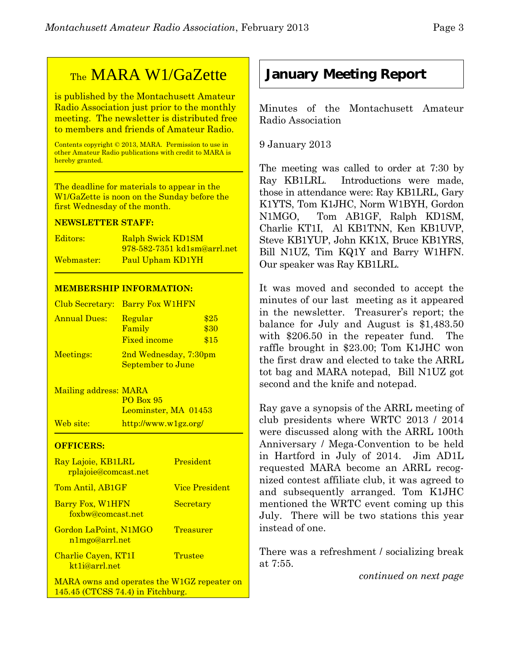# TheMARA W1/GaZette

is published by the Montachusett Amateur Radio Association just prior to the monthly meeting. The newsletter is distributed free to members and friends of Amateur Radio.

Contents copyright © 2013, MARA. Permission to use in other Amateur Radio publications with credit to MARA is hereby granted.

The deadline for materials to appear in the W1/GaZette is noon on the Sunday before the first Wednesday of the month.

#### **NEWSLETTER STAFF:**

| Editors:   | Ralph Swick KD1SM           |
|------------|-----------------------------|
|            | 978-582-7351 kd1sm@arrl.net |
| Webmaster: | Paul Upham KD1YH            |

#### **MEMBERSHIP INFORMATION:**

|                     | Club Secretary: Barry Fox W1HFN                   |                      |
|---------------------|---------------------------------------------------|----------------------|
| <b>Annual Dues:</b> | Regular<br>Family<br><b>Fixed income</b>          | \$25<br>\$30<br>\$15 |
| Meetings:           | 2nd Wednesday, 7:30pm<br><b>September to June</b> |                      |

Mailing address: MARA PO Box 95 Leominster, MA 01453 Web site: http://www.w1gz.org/

#### **OFFICERS:**

| Ray Lajoie, KB1LRL<br><u>rplajoie@comcast.net</u> | President             |
|---------------------------------------------------|-----------------------|
| Tom Antil, AB1GF                                  | <b>Vice President</b> |
| Barry Fox, W1HFN<br>foxbw@comcast.net             | Secretary             |
| Gordon LaPoint, N1MGO<br>n1mgo@arrl.net           | Treasurer             |
| Charlie Cayen, KT1I<br>kt <sub>1</sub> i@arrl.net | Trustee               |
| MARA owns and operates the W1GZ repeater on       |                       |

145.45 (CTCSS 74.4) in Fitchburg.

## **January Meeting Report**

Minutes of the Montachusett Amateur Radio Association

9 January 2013

The meeting was called to order at 7:30 by Ray KB1LRL. Introductions were made, those in attendance were: Ray KB1LRL, Gary K1YTS, Tom K1JHC, Norm W1BYH, Gordon N1MGO, Tom AB1GF, Ralph KD1SM, Charlie KT1I, Al KB1TNN, Ken KB1UVP, Steve KB1YUP, John KK1X, Bruce KB1YRS, Bill N1UZ, Tim KQ1Y and Barry W1HFN. Our speaker was Ray KB1LRL.

It was moved and seconded to accept the minutes of our last meeting as it appeared in the newsletter. Treasurer's report; the balance for July and August is \$1,483.50 with \$206.50 in the repeater fund. The raffle brought in \$23.00; Tom K1JHC won the first draw and elected to take the ARRL tot bag and MARA notepad, Bill N1UZ got second and the knife and notepad.

Ray gave a synopsis of the ARRL meeting of club presidents where WRTC 2013 / 2014 were discussed along with the ARRL 100th Anniversary / Mega-Convention to be held in Hartford in July of 2014. Jim AD1L requested MARA become an ARRL recognized contest affiliate club, it was agreed to and subsequently arranged. Tom K1JHC mentioned the WRTC event coming up this July. There will be two stations this year instead of one.

There was a refreshment / socializing break at 7:55.

*continued on next page*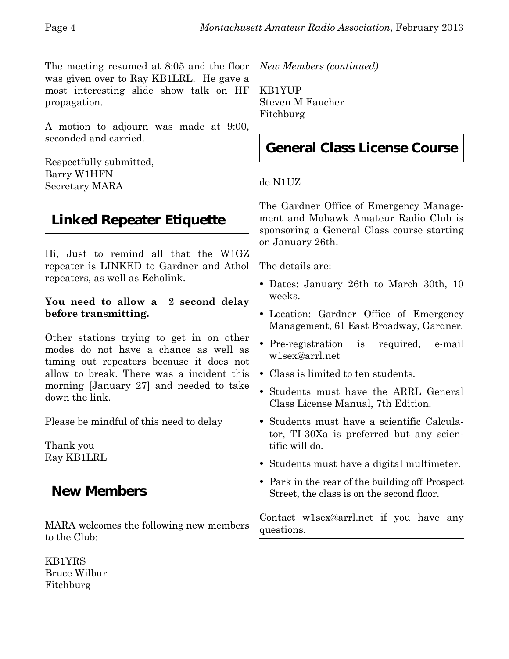The meeting resumed at 8:05 and the floor was given over to Ray KB1LRL. He gave a most interesting slide show talk on HF propagation.

A motion to adjourn was made at 9:00, seconded and carried.

Respectfully submitted, Barry W1HFN Secretary MARA

# **Linked Repeater Etiquette**

Hi, Just to remind all that the W1GZ repeater is LINKED to Gardner and Athol repeaters, as well as Echolink.

#### **You need to allow a 2 second delay before transmitting.**

Other stations trying to get in on other modes do not have a chance as well as timing out repeaters because it does not allow to break. There was a incident this morning [January 27] and needed to take down the link.

Please be mindful of this need to delay

Thank you Ray KB1LRL

## **New Members**

MARA welcomes the following new members to the Club:

KB1YRS Bruce Wilbur Fitchburg

*New Members (continued)*

KB1YUP Steven M Faucher Fitchburg

# **General Class License Course**

de N1UZ

The Gardner Office of Emergency Management and Mohawk Amateur Radio Club is sponsoring a General Class course starting on January 26th.

The details are:

- Dates: January 26th to March 30th, 10 weeks.
- Location: Gardner Office of Emergency Management, 61 East Broadway, Gardner.
- Pre-registration is required, e-mail w1sex@arrl.net
- Class is limited to ten students.
- Students must have the ARRL General Class License Manual, 7th Edition.
- Students must have a scientific Calculator, TI-30Xa is preferred but any scientific will do.
- Students must have a digital multimeter.
- Park in the rear of the building off Prospect Street, the class is on the second floor.

Contact w1sex@arrl.net if you have any questions.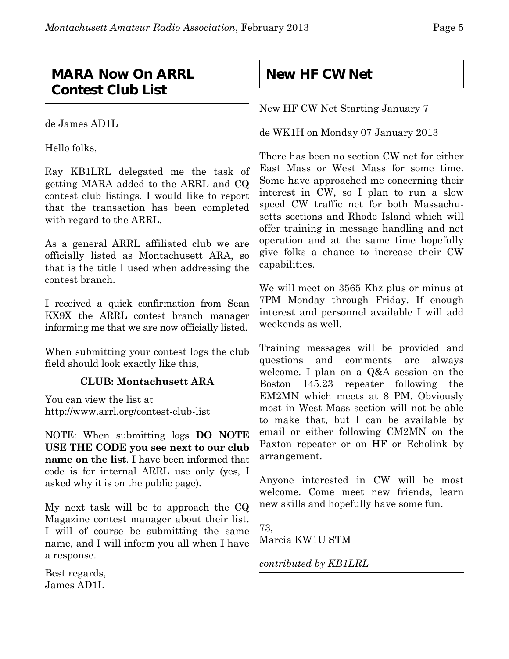## **MARA Now On ARRL Contest Club List**

de James AD1L

Hello folks,

Ray KB1LRL delegated me the task of getting MARA added to the ARRL and CQ contest club listings. I would like to report that the transaction has been completed with regard to the ARRL.

As a general ARRL affiliated club we are officially listed as Montachusett ARA, so that is the title I used when addressing the contest branch.

I received a quick confirmation from Sean KX9X the ARRL contest branch manager informing me that we are now officially listed.

When submitting your contest logs the club field should look exactly like this,

### **CLUB: Montachusett ARA**

You can view the list at http://www.arrl.org/contest-club-list

NOTE: When submitting logs **DO NOTE USE THE CODE you see next to our club name on the list**. I have been informed that code is for internal ARRL use only (yes, I asked why it is on the public page).

My next task will be to approach the CQ Magazine contest manager about their list. I will of course be submitting the same name, and I will inform you all when I have a response.

Best regards, James AD1L

# **New HF CW Net**

New HF CW Net Starting January 7

de WK1H on Monday 07 January 2013

There has been no section CW net for either East Mass or West Mass for some time. Some have approached me concerning their interest in CW, so I plan to run a slow speed CW traffic net for both Massachusetts sections and Rhode Island which will offer training in message handling and net operation and at the same time hopefully give folks a chance to increase their CW capabilities.

We will meet on 3565 Khz plus or minus at 7PM Monday through Friday. If enough interest and personnel available I will add weekends as well.

Training messages will be provided and questions and comments are always welcome. I plan on a Q&A session on the Boston 145.23 repeater following the EM2MN which meets at 8 PM. Obviously most in West Mass section will not be able to make that, but I can be available by email or either following CM2MN on the Paxton repeater or on HF or Echolink by arrangement.

Anyone interested in CW will be most welcome. Come meet new friends, learn new skills and hopefully have some fun.

73, Marcia KW1U STM

*contributed by KB1LRL*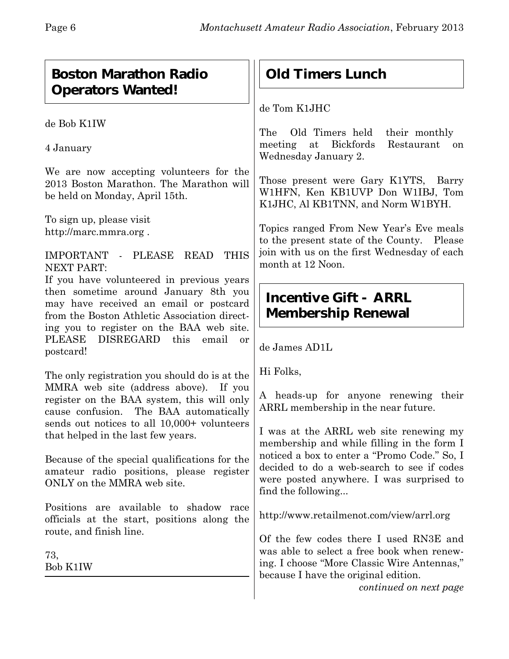## **Boston Marathon Radio Operators Wanted!**

de Bob K1IW

4 January

We are now accepting volunteers for the 2013 Boston Marathon. The Marathon will be held on Monday, April 15th.

To sign up, please visit http://marc.mmra.org .

IMPORTANT - PLEASE READ THIS NEXT PART:

If you have volunteered in previous years then sometime around January 8th you may have received an email or postcard from the Boston Athletic Association directing you to register on the BAA web site. PLEASE DISREGARD this email or postcard!

The only registration you should do is at the MMRA web site (address above). If you register on the BAA system, this will only cause confusion. The BAA automatically sends out notices to all 10,000+ volunteers that helped in the last few years.

Because of the special qualifications for the amateur radio positions, please register ONLY on the MMRA web site.

Positions are available to shadow race officials at the start, positions along the route, and finish line.

73, Bob K1IW

# **Old Timers Lunch**

de Tom K1JHC

The Old Timers held their monthly meeting at Bickfords Restaurant on Wednesday January 2.

Those present were Gary K1YTS, Barry W1HFN, Ken KB1UVP Don W1IBJ, Tom K1JHC, Al KB1TNN, and Norm W1BYH.

Topics ranged From New Year's Eve meals to the present state of the County. Please join with us on the first Wednesday of each month at 12 Noon.

## **Incentive Gift - ARRL Membership Renewal**

de James AD1L

Hi Folks,

A heads-up for anyone renewing their ARRL membership in the near future.

I was at the ARRL web site renewing my membership and while filling in the form I noticed a box to enter a "Promo Code." So, I decided to do a web-search to see if codes were posted anywhere. I was surprised to find the following...

http://www.retailmenot.com/view/arrl.org

Of the few codes there I used RN3E and was able to select a free book when renewing. I choose "More Classic Wire Antennas," because I have the original edition.

*continued on next page*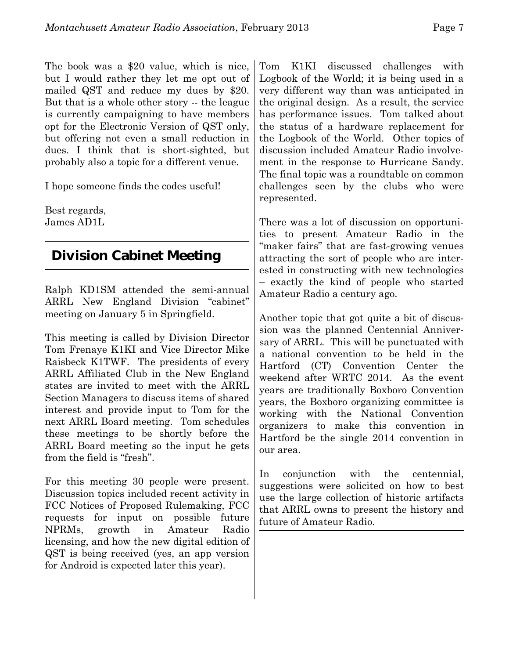The book was a \$20 value, which is nice, but I would rather they let me opt out of mailed QST and reduce my dues by \$20. But that is a whole other story -- the league is currently campaigning to have members opt for the Electronic Version of QST only, but offering not even a small reduction in dues. I think that is short-sighted, but probably also a topic for a different venue.

I hope someone finds the codes useful!

Best regards, James AD1L

## **Division Cabinet Meeting**

Ralph KD1SM attended the semi-annual ARRL New England Division "cabinet" meeting on January 5 in Springfield.

This meeting is called by Division Director Tom Frenaye K1KI and Vice Director Mike Raisbeck K1TWF. The presidents of every ARRL Affiliated Club in the New England states are invited to meet with the ARRL Section Managers to discuss items of shared interest and provide input to Tom for the next ARRL Board meeting. Tom schedules these meetings to be shortly before the ARRL Board meeting so the input he gets from the field is "fresh".

For this meeting 30 people were present. Discussion topics included recent activity in FCC Notices of Proposed Rulemaking, FCC requests for input on possible future NPRMs, growth in Amateur Radio licensing, and how the new digital edition of QST is being received (yes, an app version for Android is expected later this year).

Tom K1KI discussed challenges with Logbook of the World; it is being used in a very different way than was anticipated in the original design. As a result, the service has performance issues. Tom talked about the status of a hardware replacement for the Logbook of the World. Other topics of discussion included Amateur Radio involvement in the response to Hurricane Sandy. The final topic was a roundtable on common challenges seen by the clubs who were represented.

There was a lot of discussion on opportunities to present Amateur Radio in the "maker fairs" that are fast-growing venues attracting the sort of people who are interested in constructing with new technologies – exactly the kind of people who started Amateur Radio a century ago.

Another topic that got quite a bit of discussion was the planned Centennial Anniversary of ARRL. This will be punctuated with a national convention to be held in the Hartford (CT) Convention Center the weekend after WRTC 2014. As the event years are traditionally Boxboro Convention years, the Boxboro organizing committee is working with the National Convention organizers to make this convention in Hartford be the single 2014 convention in our area.

In conjunction with the centennial, suggestions were solicited on how to best use the large collection of historic artifacts that ARRL owns to present the history and future of Amateur Radio.